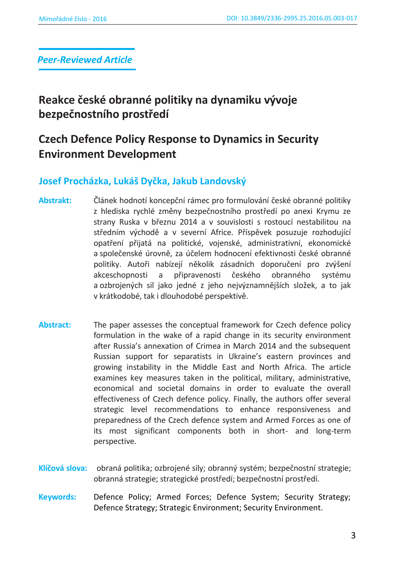*Peer-Reviewed Article*

**Reakce české obranné politiky na dynamiku vývoje bezpečnostního prostředí** 

# **Czech Defence Policy Response to Dynamics in Security Environment Development**

# **Josef Procházka, Lukáš Dyčka, Jakub Landovský**

- Abstrakt: Článek hodnotí koncepční rámec pro formulování české obranné politiky z hlediska rychlé změny bezpečnostního prostředí po anexi Krymu ze strany Ruska v březnu 2014 a v souvislosti s rostoucí nestabilitou na středním východě a v severní Africe. Příspěvek posuzuje rozhodující opatření přijatá na politické, vojenské, administrativní, ekonomické a společenské úrovně, za účelem hodnocení efektivnosti české obranné politiky. Autoři nabízejí několik zásadních doporučení pro zvýšení akceschopnosti a připravenosti českého obranného systému a ozbrojených sil jako jedné z jeho nejvýznamnějších složek, a to jak v krátkodobé, tak i dlouhodobé perspektivě.
- **Abstract:** The paper assesses the conceptual framework for Czech defence policy formulation in the wake of a rapid change in its security environment after Russia's annexation of Crimea in March 2014 and the subsequent Russian support for separatists in Ukraine's eastern provinces and growing instability in the Middle East and North Africa. The article examines key measures taken in the political, military, administrative, economical and societal domains in order to evaluate the overall effectiveness of Czech defence policy. Finally, the authors offer several strategic level recommendations to enhance responsiveness and preparedness of the Czech defence system and Armed Forces as one of its most significant components both in short- and long-term perspective.
- Klíčová slova: obraná politika; ozbrojené sily; obranný systém; bezpečnostní strategie; obranná strategie; strategické prostředí; bezpečnostní prostředí.
- **Keywords:** Defence Policy; Armed Forces; Defence System; Security Strategy; Defence Strategy; Strategic Environment; Security Environment.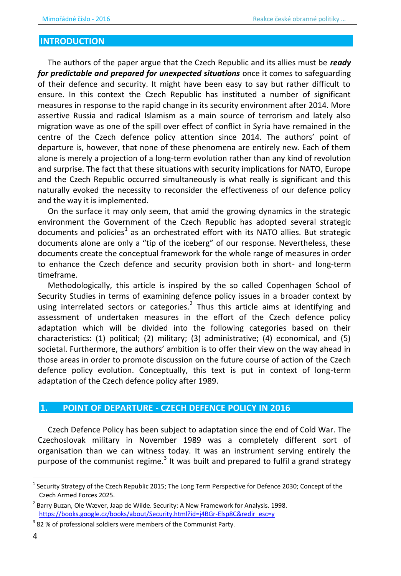### **INTRODUCTION**

The authors of the paper argue that the Czech Republic and its allies must be ready for predictable and prepared for unexpected situations once it comes to safeguarding of their defence and security. It might have been easy to say but rather difficult to ensure. In this context the Czech Republic has instituted a number of significant measures in response to the rapid change in its security environment after 2014. More assertive Russia and radical Islamism as a main source of terrorism and lately also migration wave as one of the spill over effect of conflict in Syria have remained in the centre of the Czech defence policy attention since 2014. The authors' point of departure is, however, that none of these phenomena are entirely new. Each of them alone is merely a projection of a long-term evolution rather than any kind of revolution and surprise. The fact that these situations with security implications for NATO, Europe and the Czech Republic occurred simultaneously is what really is significant and this naturally evoked the necessity to reconsider the effectiveness of our defence policy and the way it is implemented.

On the surface it may only seem, that amid the growing dynamics in the strategic environment the Government of the Czech Republic has adopted several strategic documents and policies<sup>1</sup> as an orchestrated effort with its NATO allies. But strategic documents alone are only a "tip of the iceberg" of our response. Nevertheless, these documents create the conceptual framework for the whole range of measures in order to enhance the Czech defence and security provision both in short- and long-term timeframe.

Methodologically, this article is inspired by the so called Copenhagen School of Security Studies in terms of examining defence policy issues in a broader context by using interrelated sectors or categories.<sup>2</sup> Thus this article aims at identifying and assessment of undertaken measures in the effort of the Czech defence policy adaptation which will be divided into the following categories based on their characteristics: (1) political; (2) military; (3) administrative; (4) economical, and (5) societal. Furthermore, the authors' ambition is to offer their view on the way ahead in those areas in order to promote discussion on the future course of action of the Czech defence policy evolution. Conceptually, this text is put in context of long-term adaptation of the Czech defence policy after 1989.

#### POINT OF DEPARTURE - CZECH DEFENCE POLICY IN 2016 1.

Czech Defence Policy has been subject to adaptation since the end of Cold War. The Czechoslovak military in November 1989 was a completely different sort of organisation than we can witness today. It was an instrument serving entirely the purpose of the communist regime.<sup>3</sup> It was built and prepared to fulfil a grand strategy

Security Strategy of the Czech Republic 2015; The Long Term Perspective for Defence 2030; Concept of the Czech Armed Forces 2025.

<sup>&</sup>lt;sup>2</sup> Barry Buzan, Ole Wæver, Jaap de Wilde. Security: A New Framework for Analysis. 1998. https://books.google.cz/books/about/Security.html?id=j4BGr-Elsp8C&redir esc=y

<sup>&</sup>lt;sup>3</sup> 82 % of professional soldiers were members of the Communist Party.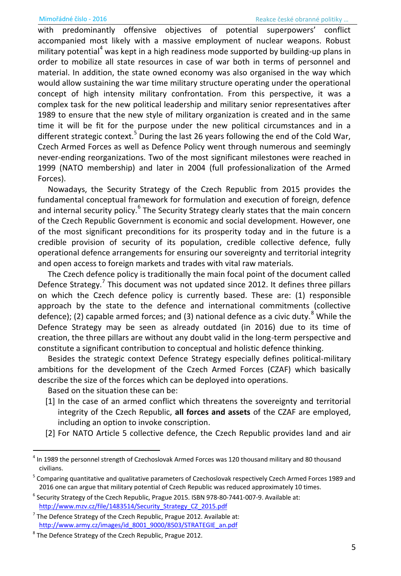with predominantly offensive objectives of potential superpowers' conflict accompanied most likely with a massive employment of nuclear weapons. Robust military potential<sup>4</sup> was kept in a high readiness mode supported by building-up plans in order to mobilize all state resources in case of war both in terms of personnel and material. In addition, the state owned economy was also organised in the way which would allow sustaining the war time military structure operating under the operational concept of high intensity military confrontation. From this perspective, it was a complex task for the new political leadership and military senior representatives after 1989 to ensure that the new style of military organization is created and in the same time it will be fit for the purpose under the new political circumstances and in a different strategic context.<sup>5</sup> During the last 26 years following the end of the Cold War, Czech Armed Forces as well as Defence Policy went through numerous and seemingly never-ending reorganizations. Two of the most significant milestones were reached in 1999 (NATO membership) and later in 2004 (full professionalization of the Armed Forces).

Nowadays, the Security Strategy of the Czech Republic from 2015 provides the fundamental conceptual framework for formulation and execution of foreign, defence and internal security policy.<sup>6</sup> The Security Strategy clearly states that the main concern of the Czech Republic Government is economic and social development. However, one of the most significant preconditions for its prosperity today and in the future is a credible provision of security of its population, credible collective defence, fully operational defence arrangements for ensuring our sovereignty and territorial integrity and open access to foreign markets and trades with vital raw materials.

The Czech defence policy is traditionally the main focal point of the document called Defence Strategy.<sup>7</sup> This document was not updated since 2012. It defines three pillars on which the Czech defence policy is currently based. These are: (1) responsible approach by the state to the defence and international commitments (collective defence); (2) capable armed forces; and (3) national defence as a civic duty.<sup>8</sup> While the Defence Strategy may be seen as already outdated (in 2016) due to its time of creation, the three pillars are without any doubt valid in the long-term perspective and constitute a significant contribution to conceptual and holistic defence thinking.

Besides the strategic context Defence Strategy especially defines political-military ambitions for the development of the Czech Armed Forces (CZAF) which basically describe the size of the forces which can be deployed into operations.

Based on the situation these can be:

 $\overline{\phantom{0}}$ 

- [1] In the case of an armed conflict which threatens the sovereignty and territorial integrity of the Czech Republic, **all forces and assets** of the CZAF are employed, including an option to invoke conscription.
- [2] For NATO Article 5 collective defence, the Czech Republic provides land and air

<sup>4</sup> In 1989 the personnel strength of Czechoslovak Armed Forces was 120 thousand military and 80 thousand civilians.

<sup>&</sup>lt;sup>5</sup> Comparing quantitative and qualitative parameters of Czechoslovak respectively Czech Armed Forces 1989 and 2016 one can argue that military potential of Czech Republic was reduced approximately 10 times.

 $^6$  Security Strategy of the Czech Republic, Prague 2015. ISBN 978-80-7441-007-9. Available at: [http://www.mzv.cz/file/1483514/Security\\_Strategy\\_CZ\\_2015.pdf](http://www.mzv.cz/file/1483514/Security_Strategy_CZ_2015.pdf) 

 $7$  The Defence Strategy of the Czech Republic, Prague 2012. Available at: [http://www.army.cz/images/id\\_8001\\_9000/8503/STRATEGIE\\_an.pdf](http://www.army.cz/images/id_8001_9000/8503/STRATEGIE_an.pdf) 

<sup>&</sup>lt;sup>8</sup> The Defence Strategy of the Czech Republic, Prague 2012.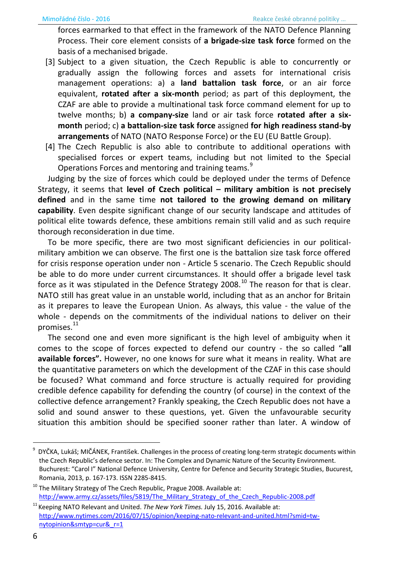forces earmarked to that effect in the framework of the NATO Defence Planning Process. Their core element consists of **a brigade-size task force** formed on the basis of a mechanised brigade.

- [3] Subject to a given situation, the Czech Republic is able to concurrently or gradually assign the following forces and assets for international crisis management operations: a) a **land battalion task force**, or an air force equivalent, **rotated after a six-month** period; as part of this deployment, the CZAF are able to provide a multinational task force command element for up to twelve months; b) **a company-size** land or air task force **rotated after a sixmonth** period; c) **a battalion-size task force** assigned **for high readiness stand-by arrangements** of NATO (NATO Response Force) or the EU (EU Battle Group).
- [4] The Czech Republic is also able to contribute to additional operations with specialised forces or expert teams, including but not limited to the Special Operations Forces and mentoring and training teams.<sup>9</sup>

Judging by the size of forces which could be deployed under the terms of Defence Strategy, it seems that **level of Czech political – military ambition is not precisely defined** and in the same time **not tailored to the growing demand on military capability**. Even despite significant change of our security landscape and attitudes of political elite towards defence, these ambitions remain still valid and as such require thorough reconsideration in due time.

To be more specific, there are two most significant deficiencies in our politicalmilitary ambition we can observe. The first one is the battalion size task force offered for crisis response operation under non - Article 5 scenario. The Czech Republic should be able to do more under current circumstances. It should offer a brigade level task force as it was stipulated in the Defence Strategy 2008.<sup>10</sup> The reason for that is clear. NATO still has great value in an unstable world, including that as an anchor for Britain as it prepares to leave the European Union. As always, this value - the value of the whole - depends on the commitments of the individual nations to deliver on their promises.<sup>11</sup>

The second one and even more significant is the high level of ambiguity when it comes to the scope of forces expected to defend our country - the so called "all **available forces".** However, no one knows for sure what it means in reality. What are the quantitative parameters on which the development of the CZAF in this case should be focused? What command and force structure is actually required for providing credible defence capability for defending the country (of course) in the context of the collective defence arrangement? Frankly speaking, the Czech Republic does not have a solid and sound answer to these questions, yet. Given the unfavourable security situation this ambition should be specified sooner rather than later. A window of

l

<sup>9</sup> DYČKA, Lukáš; MIČÁNEK, František. Challenges in the process of creating long-term strategic documents within the Czech Republic's defence sector. In: The Complex and Dynamic Nature of the Security Environment. Buchurest: "Carol I" National Defence University, Centre for Defence and Security Strategic Studies, Bucurest, Romania, 2013, p. 167-173. ISSN 2285-8415.

 $10$  The Military Strategy of The Czech Republic, Prague 2008. Available at: [http://www.army.cz/assets/files/5819/The\\_Military\\_Strategy\\_of\\_the\\_Czech\\_Republic-2008.pdf](http://www.army.cz/assets/files/5819/The_Military_Strategy_of_the_Czech_Republic-2008.pdf) 

<sup>&</sup>lt;sup>11</sup> Keeping NATO Relevant and United. *The New York Times.* July 15, 2016. Available at: [http://www.nytimes.com/2016/07/15/opinion/keeping-nato-relevant-and-united.html?smid=tw](http://www.nytimes.com/2016/07/15/opinion/keeping-nato-relevant-and-united.html?smid=tw-nytopinion&smtyp=cur&_r=1)[nytopinion&smtyp=cur&\\_r=1](http://www.nytimes.com/2016/07/15/opinion/keeping-nato-relevant-and-united.html?smid=tw-nytopinion&smtyp=cur&_r=1)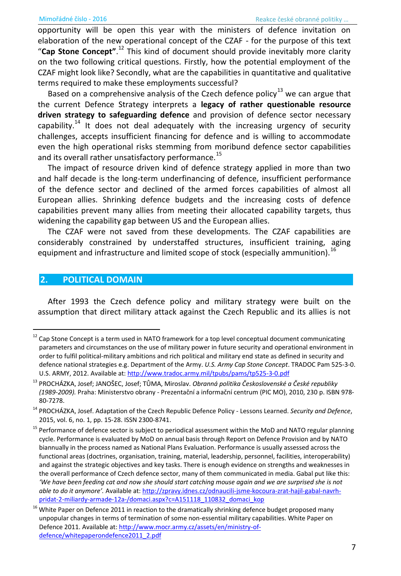opportunity will be open this year with the ministers of defence invitation on elaboration of the new operational concept of the CZAF - for the purpose of this text "Cap Stone Concept".<sup>12</sup> This kind of document should provide inevitably more clarity on the two following critical questions. Firstly, how the potential employment of the CZAF might look like? Secondly, what are the capabilities in quantitative and qualitative terms required to make these employments successful?

Based on a comprehensive analysis of the Czech defence policy $^{13}$  we can argue that the current Defence Strategy interprets a **legacy of rather questionable resource driven strategy to safeguarding defence** and provision of defence sector necessary capability.<sup>14</sup> It does not deal adequately with the increasing urgency of security challenges, accepts insufficient financing for defence and is willing to accommodate even the high operational risks stemming from moribund defence sector capabilities and its overall rather unsatisfactory performance.<sup>15</sup>

The impact of resource driven kind of defence strategy applied in more than two and half decade is the long-term underfinancing of defence, insufficient performance of the defence sector and declined of the armed forces capabilities of almost all European allies. Shrinking defence budgets and the increasing costs of defence capabilities prevent many allies from meeting their allocated capability targets, thus widening the capability gap between US and the European allies.

The CZAF were not saved from these developments. The CZAF capabilities are considerably constrained by understaffed structures, insufficient training, aging equipment and infrastructure and limited scope of stock (especially ammunition).<sup>16</sup>

## **2. POLITICAL DOMAIN**

 $\overline{\phantom{0}}$ 

After 1993 the Czech defence policy and military strategy were built on the assumption that direct military attack against the Czech Republic and its allies is not

 $12$  Cap Stone Concept is a term used in NATO framework for a top level conceptual document communicating parameters and circumstances on the use of military power in future security and operational environment in order to fulfil political-military ambitions and rich political and military end state as defined in security and defence national strategies e.g. Department of the Army. *U.S. Army Cap Stone Concept*. TRADOC Pam 525-3-0. U.S. ARMY, 2012. Available at[: http://www.tradoc.army.mil/tpubs/pams/tp525-3-0.pdf](http://www.tradoc.army.mil/tpubs/pams/tp525-3-0.pdf) 

PROCHÁZKA, Josef; JANOŠEC, Josef; TŮMA, Miroslav. Obranná politika Československé a České republiky *(1989-2009). Praha: Ministerstvo obrany - Prezentační a informační centrum (PIC MO), 2010, 230 p. ISBN 978-*80-7278.

<sup>&</sup>lt;sup>14</sup> PROCHÁZKA, Josef. Adaptation of the Czech Republic Defence Policy - Lessons Learned. Security and Defence, 2015, vol. 6, no. 1, pp. 15-28. ISSN 2300-8741.

<sup>&</sup>lt;sup>15</sup> Performance of defence sector is subiect to periodical assessment within the MoD and NATO regular planning cycle. Performance is evaluated by MoD on annual basis through Report on Defence Provision and by NATO biannually in the process named as National Plans Evaluation. Performance is usually assessed across the functional areas (doctrines, organisation, training, material, leadership, personnel, facilities, interoperability) and against the strategic objectives and key tasks. There is enough evidence on strengths and weaknesses in the overall performance of Czech defence sector, many of them communicated in media. Gabal put like this: *f* We have been feeding cat and now she should start catching mouse again and we are surprised she is not *able to do it anymore'.* Available at[: http://zpravy.idnes.cz/odnaucili-jsme-kocoura-zrat-hajil-gabal-navrh](http://zpravy.idnes.cz/odnaucili-jsme-kocoura-zrat-hajil-gabal-navrh-pridat-2-miliardy-armade-12a-/domaci.aspx?c=A151118_110832_domaci_kop)pridat-2-miliardy-armade-12a-/domaci.aspx?c=A151118\_110832\_domaci\_kop

White Paper on Defence 2011 in reaction to the dramatically shrinking defence budget proposed many unpopular changes in terms of termination of some non-essential military capabilities. White Paper on Defence 2011. Available at: [http://www.mocr.army.cz/assets/en/ministry-of](http://www.mocr.army.cz/assets/en/ministry-of-defence/whitepaperondefence2011_2.pdf)[defence/whitepaperondefence2011\\_2.pdf](http://www.mocr.army.cz/assets/en/ministry-of-defence/whitepaperondefence2011_2.pdf)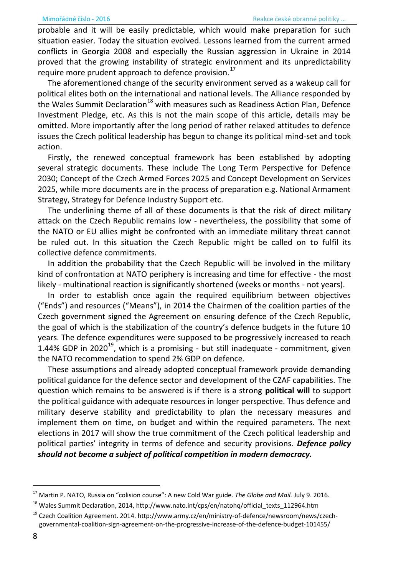probable and it will be easily predictable, which would make preparation for such situation easier. Today the situation evolved. Lessons learned from the current armed conflicts in Georgia 2008 and especially the Russian aggression in Ukraine in 2014 proved that the growing instability of strategic environment and its unpredictability require more prudent approach to defence provision.<sup>17</sup>

The aforementioned change of the security environment served as a wakeup call for political elites both on the international and national levels. The Alliance responded by the Wales Summit Declaration<sup>18</sup> with measures such as Readiness Action Plan, Defence Investment Pledge, etc. As this is not the main scope of this article, details may be omitted. More importantly after the long period of rather relaxed attitudes to defence issues the Czech political leadership has begun to change its political mind-set and took action.

Firstly, the renewed conceptual framework has been established by adopting several strategic documents. These include The Long Term Perspective for Defence 2030; Concept of the Czech Armed Forces 2025 and Concept Development on Services 2025, while more documents are in the process of preparation e.g. National Armament Strategy, Strategy for Defence Industry Support etc.

The underlining theme of all of these documents is that the risk of direct military attack on the Czech Republic remains low - nevertheless, the possibility that some of the NATO or EU allies might be confronted with an immediate military threat cannot be ruled out. In this situation the Czech Republic might be called on to fulfil its collective defence commitments.

In addition the probability that the Czech Republic will be involved in the military kind of confrontation at NATO periphery is increasing and time for effective - the most likely - multinational reaction is significantly shortened (weeks or months - not years).

In order to establish once again the required equilibrium between objectives ("Ends") and resources ("Means"), in 2014 the Chairmen of the coalition parties of the Czech government signed the Agreement on ensuring defence of the Czech Republic, the goal of which is the stabilization of the country's defence budgets in the future 10 years. The defence expenditures were supposed to be progressively increased to reach 1.44% GDP in 2020<sup>19</sup>, which is a promising - but still inadequate - commitment, given the NATO recommendation to spend 2% GDP on defence.

These assumptions and already adopted conceptual framework provide demanding political guidance for the defence sector and development of the CZAF capabilities. The question which remains to be answered is if there is a strong **political will** to support the political guidance with adequate resources in longer perspective. Thus defence and military deserve stability and predictability to plan the necessary measures and implement them on time, on budget and within the required parameters. The next elections in 2017 will show the true commitment of the Czech political leadership and political parties' integrity in terms of defence and security provisions. Defence policy should not become a subject of political competition in modern democracy.

<sup>&</sup>lt;sup>17</sup> Martin P. NATO, Russia on "colision course": A new Cold War guide. The Globe and Mail. July 9. 2016.

<sup>&</sup>lt;sup>18</sup> Wales Summit Declaration, 2014, http://www.nato.int/cps/en/natohq/official\_texts\_112964.htm

<sup>&</sup>lt;sup>19</sup> Czech Coalition Agreement. 2014. http://www.army.cz/en/ministry-of-defence/newsroom/news/czechgovernmental-coalition-sign-agreement-on-the-progressive-increase-of-the-defence-budget-101455/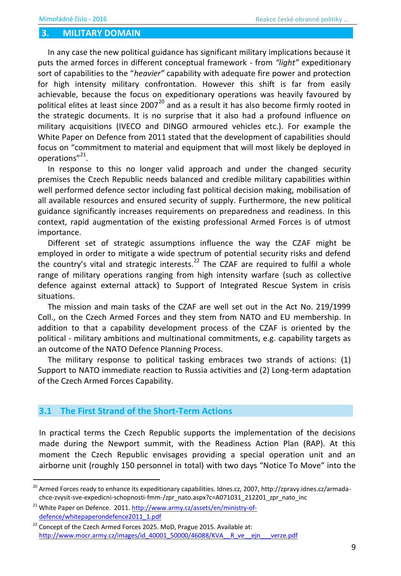#### 3. **MILITARY DOMAIN**

In any case the new political guidance has significant military implications because it puts the armed forces in different conceptual framework - from "light" expeditionary sort of capabilities to the "heavier" capability with adequate fire power and protection for high intensity military confrontation. However this shift is far from easily achievable, because the focus on expeditionary operations was heavily favoured by political elites at least since 2007<sup>20</sup> and as a result it has also become firmly rooted in the strategic documents. It is no surprise that it also had a profound influence on military acquisitions (IVECO and DINGO armoured vehicles etc.). For example the White Paper on Defence from 2011 stated that the development of capabilities should focus on "commitment to material and equipment that will most likely be deployed in operations"<sup>21</sup>.

In response to this no longer valid approach and under the changed security premises the Czech Republic needs balanced and credible military capabilities within well performed defence sector including fast political decision making, mobilisation of all available resources and ensured security of supply. Furthermore, the new political guidance significantly increases requirements on preparedness and readiness. In this context, rapid augmentation of the existing professional Armed Forces is of utmost importance.

Different set of strategic assumptions influence the way the CZAF might be employed in order to mitigate a wide spectrum of potential security risks and defend the country's vital and strategic interests.<sup>22</sup> The CZAF are required to fulfil a whole range of military operations ranging from high intensity warfare (such as collective defence against external attack) to Support of Integrated Rescue System in crisis situations.

The mission and main tasks of the CZAF are well set out in the Act No. 219/1999 Coll., on the Czech Armed Forces and they stem from NATO and EU membership. In addition to that a capability development process of the CZAF is oriented by the political - military ambitions and multinational commitments, e.g. capability targets as an outcome of the NATO Defence Planning Process.

The military response to political tasking embraces two strands of actions: (1) Support to NATO immediate reaction to Russia activities and (2) Long-term adaptation of the Czech Armed Forces Capability.

#### The First Strand of the Short-Term Actions  $3.1$

In practical terms the Czech Republic supports the implementation of the decisions made during the Newport summit, with the Readiness Action Plan (RAP). At this moment the Czech Republic envisages providing a special operation unit and an airborne unit (roughly 150 personnel in total) with two days "Notice To Move" into the

<sup>&</sup>lt;sup>20</sup> Armed Forces ready to enhance its expeditionary capabilities. Idnes.cz, 2007, http://zpravy.idnes.cz/armadachce-zvysit-sve-expedicni-schopnosti-fmm-/zpr\_nato.aspx?c=A071031\_212201\_zpr\_nato\_inc

White Paper on Defence. 2011. http://www.army.cz/assets/en/ministry-ofdefence/whitepaperondefence2011\_1.pdf

<sup>22</sup> Concept of the Czech Armed Forces 2025. MoD, Prague 2015. Available at: http://www.mocr.army.cz/images/id 40001 50000/46088/KVA R ve ejn verze.pdf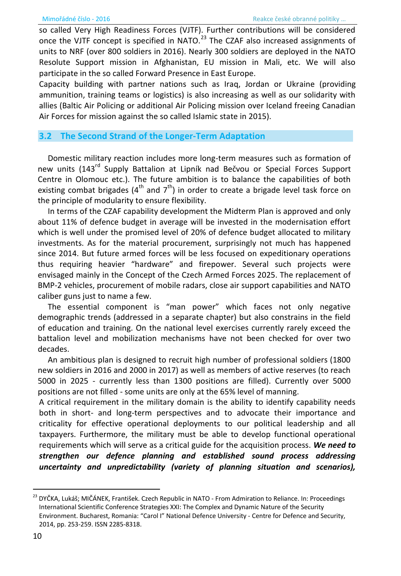so called Very High Readiness Forces (VJTF). Further contributions will be considered once the VJTF concept is specified in NATO.<sup>23</sup> The CZAF also increased assignments of units to NRF (over 800 soldiers in 2016). Nearly 300 soldiers are deployed in the NATO Resolute Support mission in Afghanistan, EU mission in Mali, etc. We will also participate in the so called Forward Presence in East Europe.

Capacity building with partner nations such as Irag, Jordan or Ukraine (providing ammunition, training teams or logistics) is also increasing as well as our solidarity with allies (Baltic Air Policing or additional Air Policing mission over Iceland freeing Canadian Air Forces for mission against the so called Islamic state in 2015).

### The Second Strand of the Longer-Term Adaptation

Domestic military reaction includes more long-term measures such as formation of new units (143<sup>rd</sup> Supply Battalion at Lipník nad Bečvou or Special Forces Support Centre in Olomouc etc.). The future ambition is to balance the capabilities of both existing combat brigades (4<sup>th</sup> and 7<sup>th</sup>) in order to create a brigade level task force on the principle of modularity to ensure flexibility.

In terms of the CZAF capability development the Midterm Plan is approved and only about 11% of defence budget in average will be invested in the modernisation effort which is well under the promised level of 20% of defence budget allocated to military investments. As for the material procurement, surprisingly not much has happened since 2014. But future armed forces will be less focused on expeditionary operations thus requiring heavier "hardware" and firepower. Several such projects were envisaged mainly in the Concept of the Czech Armed Forces 2025. The replacement of BMP-2 vehicles, procurement of mobile radars, close air support capabilities and NATO caliber guns just to name a few.

The essential component is "man power" which faces not only negative demographic trends (addressed in a separate chapter) but also constrains in the field of education and training. On the national level exercises currently rarely exceed the battalion level and mobilization mechanisms have not been checked for over two decades.

An ambitious plan is designed to recruit high number of professional soldiers (1800) new soldiers in 2016 and 2000 in 2017) as well as members of active reserves (to reach 5000 in 2025 - currently less than 1300 positions are filled). Currently over 5000 positions are not filled - some units are only at the 65% level of manning.

A critical requirement in the military domain is the ability to identify capability needs both in short- and long-term perspectives and to advocate their importance and criticality for effective operational deployments to our political leadership and all taxpayers. Furthermore, the military must be able to develop functional operational requirements which will serve as a critical guide for the acquisition process. We need to strengthen our defence planning and established sound process addressing uncertainty and unpredictability (variety of planning situation and scenarios),

DYČKA, Lukáš; MIČÁNEK, František. Czech Republic in NATO - From Admiration to Reliance. In: Proceedings International Scientific Conference Strategies XXI: The Complex and Dynamic Nature of the Security Environment. Bucharest, Romania: "Carol I" National Defence University - Centre for Defence and Security, 2014, pp. 253-259. ISSN 2285-8318.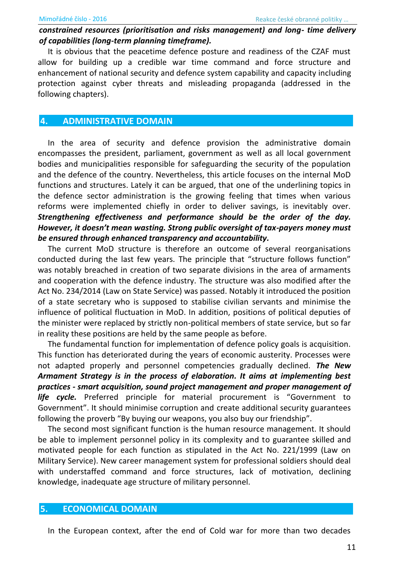### constrained resources (prioritisation and risks management) and long- time delivery of capabilities (long-term planning timeframe).

It is obvious that the peacetime defence posture and readiness of the CZAF must allow for building up a credible war time command and force structure and enhancement of national security and defence system capability and capacity including protection against cyber threats and misleading propaganda (addressed in the following chapters).

#### 4. **ADMINISTRATIVE DOMAIN**

In the area of security and defence provision the administrative domain encompasses the president, parliament, government as well as all local government bodies and municipalities responsible for safeguarding the security of the population and the defence of the country. Nevertheless, this article focuses on the internal MoD functions and structures. Lately it can be argued, that one of the underlining topics in the defence sector administration is the growing feeling that times when various reforms were implemented chiefly in order to deliver savings, is inevitably over. Strengthening effectiveness and performance should be the order of the day. However, it doesn't mean wasting. Strong public oversight of tax-payers money must be ensured through enhanced transparency and accountability.

The current MoD structure is therefore an outcome of several reorganisations conducted during the last few years. The principle that "structure follows function" was notably breached in creation of two separate divisions in the area of armaments and cooperation with the defence industry. The structure was also modified after the Act No. 234/2014 (Law on State Service) was passed. Notably it introduced the position of a state secretary who is supposed to stabilise civilian servants and minimise the influence of political fluctuation in MoD. In addition, positions of political deputies of the minister were replaced by strictly non-political members of state service, but so far in reality these positions are held by the same people as before.

The fundamental function for implementation of defence policy goals is acquisition. This function has deteriorated during the years of economic austerity. Processes were not adapted properly and personnel competencies gradually declined. The New Armament Strategy is in the process of elaboration. It aims at implementing best practices - smart acquisition, sound project management and proper management of life cycle. Preferred principle for material procurement is "Government to Government". It should minimise corruption and create additional security guarantees following the proverb "By buying our weapons, you also buy our friendship".

The second most significant function is the human resource management. It should be able to implement personnel policy in its complexity and to guarantee skilled and motivated people for each function as stipulated in the Act No. 221/1999 (Law on Military Service). New career management system for professional soldiers should deal with understaffed command and force structures, lack of motivation, declining knowledge, inadequate age structure of military personnel.

#### 5. **ECONOMICAL DOMAIN**

In the European context, after the end of Cold war for more than two decades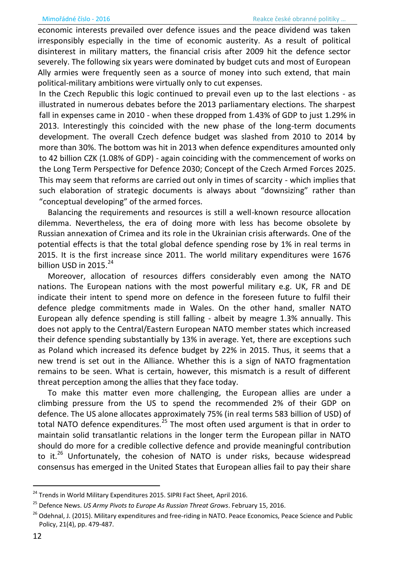economic interests prevailed over defence issues and the peace dividend was taken irresponsibly especially in the time of economic austerity. As a result of political disinterest in military matters, the financial crisis after 2009 hit the defence sector severely. The following six years were dominated by budget cuts and most of European Ally armies were frequently seen as a source of money into such extend, that main political-military ambitions were virtually only to cut expenses.

In the Czech Republic this logic continued to prevail even up to the last elections - as illustrated in numerous debates before the 2013 parliamentary elections. The sharpest fall in expenses came in 2010 - when these dropped from 1.43% of GDP to just 1.29% in 2013. Interestingly this coincided with the new phase of the long-term documents development. The overall Czech defence budget was slashed from 2010 to 2014 by more than 30%. The bottom was hit in 2013 when defence expenditures amounted only to 42 billion CZK (1.08% of GDP) - again coinciding with the commencement of works on the Long Term Perspective for Defence 2030; Concept of the Czech Armed Forces 2025. This may seem that reforms are carried out only in times of scarcity - which implies that such elaboration of strategic documents is always about "downsizing" rather than "conceptual developing" of the armed forces.

Balancing the requirements and resources is still a well-known resource allocation dilemma. Nevertheless, the era of doing more with less has become obsolete by Russian annexation of Crimea and its role in the Ukrainian crisis afterwards. One of the potential effects is that the total global defence spending rose by 1% in real terms in 2015. It is the first increase since 2011. The world military expenditures were 1676 billion USD in 2015.<sup>24</sup>

Moreover, allocation of resources differs considerably even among the NATO nations. The European nations with the most powerful military e.g. UK, FR and DE indicate their intent to spend more on defence in the foreseen future to fulfil their defence pledge commitments made in Wales. On the other hand, smaller NATO European ally defence spending is still falling - albeit by meagre 1.3% annually. This does not apply to the Central/Eastern European NATO member states which increased their defence spending substantially by 13% in average. Yet, there are exceptions such as Poland which increased its defence budget by 22% in 2015. Thus, it seems that a new trend is set out in the Alliance. Whether this is a sign of NATO fragmentation remains to be seen. What is certain, however, this mismatch is a result of different threat perception among the allies that they face today.

To make this matter even more challenging, the European allies are under a climbing pressure from the US to spend the recommended 2% of their GDP on defence. The US alone allocates approximately 75% (in real terms 583 billion of USD) of total NATO defence expenditures.<sup>25</sup> The most often used argument is that in order to maintain solid transatlantic relations in the longer term the European pillar in NATO should do more for a credible collective defence and provide meaningful contribution to it.<sup>26</sup> Unfortunately, the cohesion of NATO is under risks, because widespread consensus has emerged in the United States that European allies fail to pay their share

<sup>&</sup>lt;sup>24</sup> Trends in World Military Expenditures 2015. SIPRI Fact Sheet, April 2016.

<sup>&</sup>lt;sup>25</sup> Defence News. US Army Pivots to Europe As Russian Threat Grows. February 15, 2016.

<sup>&</sup>lt;sup>26</sup> Odehnal, J. (2015). Military expenditures and free-riding in NATO. Peace Economics, Peace Science and Public Policy, 21(4), pp. 479-487.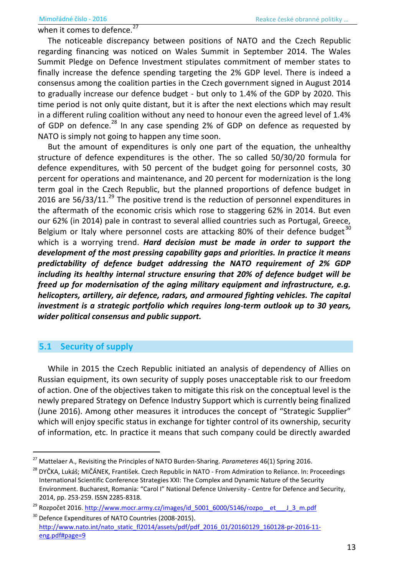when it comes to defence.

The noticeable discrepancy between positions of NATO and the Czech Republic regarding financing was noticed on Wales Summit in September 2014. The Wales Summit Pledge on Defence Investment stipulates commitment of member states to finally increase the defence spending targeting the 2% GDP level. There is indeed a consensus among the coalition parties in the Czech government signed in August 2014 to gradually increase our defence budget - but only to 1.4% of the GDP by 2020. This time period is not only quite distant, but it is after the next elections which may result in a different ruling coalition without any need to honour even the agreed level of 1.4% of GDP on defence.<sup>28</sup> In any case spending 2% of GDP on defence as requested by NATO is simply not going to happen any time soon.

But the amount of expenditures is only one part of the equation, the unhealthy structure of defence expenditures is the other. The so called 50/30/20 formula for defence expenditures, with 50 percent of the budget going for personnel costs, 30 percent for operations and maintenance, and 20 percent for modernization is the long term goal in the Czech Republic, but the planned proportions of defence budget in 2016 are  $56/33/11$ <sup>29</sup>. The positive trend is the reduction of personnel expenditures in the aftermath of the economic crisis which rose to staggering 62% in 2014. But even our 62% (in 2014) pale in contrast to several allied countries such as Portugal, Greece, Belgium or Italy where personnel costs are attacking 80% of their defence budget $^{30}$ which is a worrying trend. *Hard decision must be made in order to support the development of the most pressing capability gaps and priorities. In practice it means predictability of defence budget addressing the NATO requirement of 2% GDP including its healthy internal structure ensuring that 20% of defence budget will be freed up for modernisation of the aging military equipment and infrastructure, e.g. helicopters, artillery, air defence, radars, and armoured fighting vehicles. The capital investment is a strategic portfolio which requires long-term outlook up to 30 years, wider political consensus and public support.*

### **5.1 Security of supply**

 $\overline{\phantom{0}}$ 

While in 2015 the Czech Republic initiated an analysis of dependency of Allies on Russian equipment, its own security of supply poses unacceptable risk to our freedom of action. One of the objectives taken to mitigate this risk on the conceptual level is the newly prepared Strategy on Defence Industry Support which is currently being finalized (June 2016). Among other measures it introduces the concept of "Strategic Supplier" which will enjoy specific status in exchange for tighter control of its ownership, security of information, etc. In practice it means that such company could be directly awarded

<sup>27</sup> Mattelaer A., Revisiting the Principles of NATO Burden-Sharing. *Parameteres* 46(1) Spring 2016.

<sup>&</sup>lt;sup>28</sup> DYČKA, Lukáš; MIČÁNEK, František. Czech Republic in NATO - From Admiration to Reliance. In: Proceedings International Scientific Conference Strategies XXI: The Complex and Dynamic Nature of the Security Environment. Bucharest, Romania: "Carol I" National Defence University - Centre for Defence and Security, 2014, pp. 253-259. ISSN 2285-8318.

 $^{29}$  Rozpočet 2016. http://www.mocr.army.cz/images/id 5001 6000/5146/rozpo $-$ et  $-$  J 3 m.pdf

<sup>&</sup>lt;sup>30</sup> Defence Expenditures of NATO Countries (2008-2015). [http://www.nato.int/nato\\_static\\_fl2014/assets/pdf/pdf\\_2016\\_01/20160129\\_160128-pr-2016-11](http://www.nato.int/nato_static_fl2014/assets/pdf/pdf_2016_01/20160129_160128-pr-2016-11-eng.pdf#page=9) [eng.pdf#page=9](http://www.nato.int/nato_static_fl2014/assets/pdf/pdf_2016_01/20160129_160128-pr-2016-11-eng.pdf#page=9)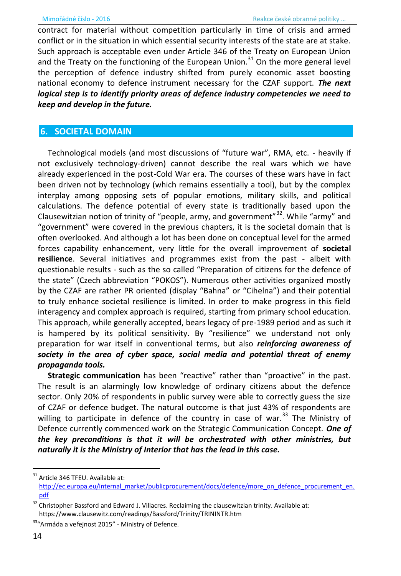contract for material without competition particularly in time of crisis and armed conflict or in the situation in which essential security interests of the state are at stake. Such approach is acceptable even under Article 346 of the Treaty on European Union and the Treaty on the functioning of the European Union.<sup>31</sup> On the more general level the perception of defence industry shifted from purely economic asset boosting national economy to defence instrument necessary for the CZAF support. The next logical step is to identify priority areas of defence industry competencies we need to keep and develop in the future.

# **6. SOCIETAL DOMAIN**

Technological models (and most discussions of "future war", RMA, etc. - heavily if not exclusively technology-driven) cannot describe the real wars which we have already experienced in the post-Cold War era. The courses of these wars have in fact been driven not by technology (which remains essentially a tool), but by the complex interplay among opposing sets of popular emotions, military skills, and political calculations. The defence potential of every state is traditionally based upon the Clausewitzian notion of trinity of "people, army, and government"<sup>32</sup>. While "army" and "government" were covered in the previous chapters, it is the societal domain that is often overlooked. And although a lot has been done on conceptual level for the armed forces capability enhancement, very little for the overall improvement of societal resilience. Several initiatives and programmes exist from the past - albeit with questionable results - such as the so called "Preparation of citizens for the defence of the state" (Czech abbreviation "POKOS"). Numerous other activities organized mostly by the CZAF are rather PR oriented (display "Bahna" or "Cihelna") and their potential to truly enhance societal resilience is limited. In order to make progress in this field interagency and complex approach is required, starting from primary school education. This approach, while generally accepted, bears legacy of pre-1989 period and as such it is hampered by its political sensitivity. By "resilience" we understand not only preparation for war itself in conventional terms, but also reinforcing awareness of society in the area of cyber space, social media and potential threat of enemy propaganda tools.

Strategic communication has been "reactive" rather than "proactive" in the past. The result is an alarmingly low knowledge of ordinary citizens about the defence sector. Only 20% of respondents in public survey were able to correctly guess the size of CZAF or defence budget. The natural outcome is that just 43% of respondents are willing to participate in defence of the country in case of war.<sup>33</sup> The Ministry of Defence currently commenced work on the Strategic Communication Concept. One of the key preconditions is that it will be orchestrated with other ministries, but naturally it is the Ministry of Interior that has the lead in this case.

<sup>&</sup>lt;sup>31</sup> Article 346 TFEU. Available at: http://ec.europa.eu/internal\_market/publicprocurement/docs/defence/more\_on\_defence\_procurement\_en. pdf

<sup>&</sup>lt;sup>32</sup> Christopher Bassford and Edward J. Villacres. Reclaiming the clausewitzian trinity. Available at: https://www.clausewitz.com/readings/Bassford/Trinity/TRININTR.htm

<sup>&</sup>lt;sup>33</sup>"Armáda a veřejnost 2015" - Ministry of Defence.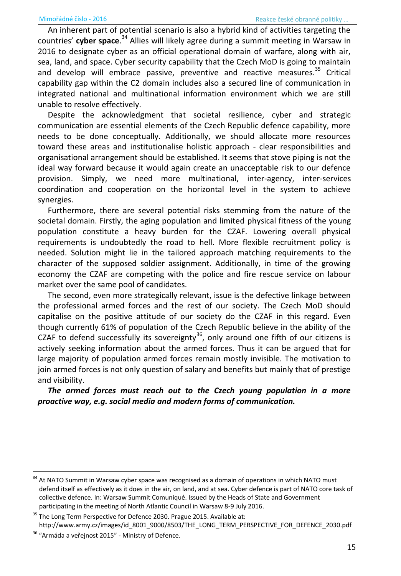An inherent part of potential scenario is also a hybrid kind of activities targeting the countries' cyber space.<sup>34</sup> Allies will likely agree during a summit meeting in Warsaw in 2016 to designate cyber as an official operational domain of warfare, along with air, sea, land, and space. Cyber security capability that the Czech MoD is going to maintain and develop will embrace passive, preventive and reactive measures.<sup>35</sup> Critical capability gap within the C2 domain includes also a secured line of communication in integrated national and multinational information environment which we are still unable to resolve effectively.

Despite the acknowledgment that societal resilience, cyber and strategic communication are essential elements of the Czech Republic defence capability, more needs to be done conceptually. Additionally, we should allocate more resources toward these areas and institutionalise holistic approach - clear responsibilities and organisational arrangement should be established. It seems that stove piping is not the ideal way forward because it would again create an unacceptable risk to our defence provision. Simply, we need more multinational, inter-agency, inter-services coordination and cooperation on the horizontal level in the system to achieve synergies.

Furthermore, there are several potential risks stemming from the nature of the societal domain. Firstly, the aging population and limited physical fitness of the young population constitute a heavy burden for the CZAF. Lowering overall physical requirements is undoubtedly the road to hell. More flexible recruitment policy is needed. Solution might lie in the tailored approach matching requirements to the character of the supposed soldier assignment. Additionally, in time of the growing economy the CZAF are competing with the police and fire rescue service on labour market over the same pool of candidates.

The second, even more strategically relevant, issue is the defective linkage between the professional armed forces and the rest of our society. The Czech MoD should capitalise on the positive attitude of our society do the CZAF in this regard. Even though currently 61% of population of the Czech Republic believe in the ability of the CZAF to defend successfully its sovereignty $36$ , only around one fifth of our citizens is actively seeking information about the armed forces. Thus it can be argued that for large majority of population armed forces remain mostly invisible. The motivation to join armed forces is not only question of salary and benefits but mainly that of prestige and visibility.

*The armed forces must reach out to the Czech young population in a more proactive way, e.g. social media and modern forms of communication.* 

 $\overline{a}$ 

<sup>&</sup>lt;sup>34</sup> At NATO Summit in Warsaw cyber space was recognised as a domain of operations in which NATO must defend itself as effectively as it does in the air, on land, and at sea. Cyber defence is part of NATO core task of collective defence. In: Warsaw Summit Comuniqué. Issued by the Heads of State and Government participating in the meeting of North Atlantic Council in Warsaw 8-9 July 2016.

<sup>&</sup>lt;sup>35</sup> The Long Term Perspective for Defence 2030. Prague 2015. Available at: http://www.army.cz/images/id 8001 9000/8503/THE LONG TERM PERSPECTIVE FOR DEFENCE 2030.pdf

<sup>&</sup>lt;sup>36</sup> "Armáda a veřejnost 2015" - Ministry of Defence.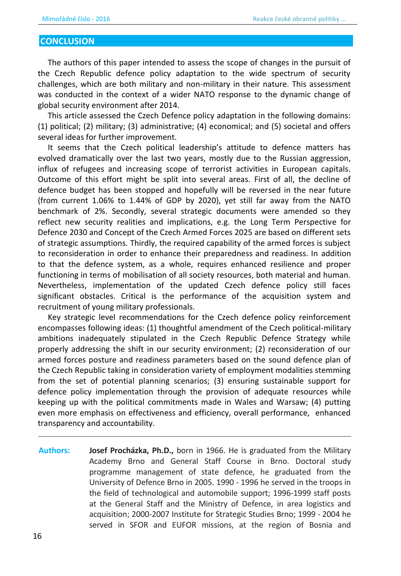### **CONCLUSION**

The authors of this paper intended to assess the scope of changes in the pursuit of the Czech Republic defence policy adaptation to the wide spectrum of security challenges, which are both military and non-military in their nature. This assessment was conducted in the context of a wider NATO response to the dynamic change of global security environment after 2014.

This article assessed the Czech Defence policy adaptation in the following domains: (1) political; (2) military; (3) administrative; (4) economical; and (5) societal and offers several ideas for further improvement.

It seems that the Czech political leadership's attitude to defence matters has evolved dramatically over the last two years, mostly due to the Russian aggression, influx of refugees and increasing scope of terrorist activities in European capitals. Outcome of this effort might be split into several areas. First of all, the decline of defence budget has been stopped and hopefully will be reversed in the near future (from current 1.06% to 1.44% of GDP by 2020), yet still far away from the NATO benchmark of 2%. Secondly, several strategic documents were amended so they reflect new security realities and implications, e.g. the Long Term Perspective for Defence 2030 and Concept of the Czech Armed Forces 2025 are based on different sets of strategic assumptions. Thirdly, the required capability of the armed forces is subject to reconsideration in order to enhance their preparedness and readiness. In addition to that the defence system, as a whole, requires enhanced resilience and proper functioning in terms of mobilisation of all society resources, both material and human. Nevertheless, implementation of the updated Czech defence policy still faces significant obstacles. Critical is the performance of the acquisition system and recruitment of young military professionals.

Key strategic level recommendations for the Czech defence policy reinforcement encompasses following ideas: (1) thoughtful amendment of the Czech political-military ambitions inadequately stipulated in the Czech Republic Defence Strategy while properly addressing the shift in our security environment; (2) reconsideration of our armed forces posture and readiness parameters based on the sound defence plan of the Czech Republic taking in consideration variety of employment modalities stemming from the set of potential planning scenarios; (3) ensuring sustainable support for defence policy implementation through the provision of adequate resources while keeping up with the political commitments made in Wales and Warsaw; (4) putting even more emphasis on effectiveness and efficiency, overall performance, enhanced transparency and accountability.

**Authors: Josef Procházka, Ph.D.,** born in 1966. He is graduated from the Military Academy Brno and General Staff Course in Brno. Doctoral study programme management of state defence, he graduated from the University of Defence Brno in 2005. 1990 - 1996 he served in the troops in the field of technological and automobile support; 1996-1999 staff posts at the General Staff and the Ministry of Defence, in area logistics and acquisition; 2000-2007 Institute for Strategic Studies Brno; 1999 - 2004 he served in SFOR and EUFOR missions, at the region of Bosnia and